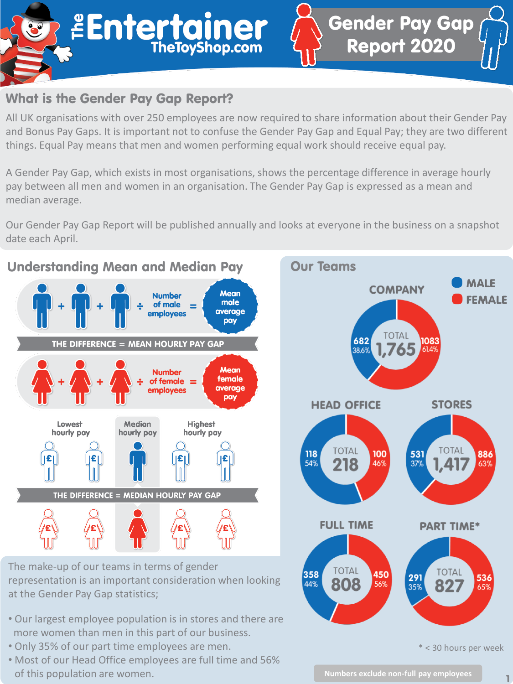

## What is the Gender Pay Gap Report?

All UK organisations with over 250 employees are now required to share information about their Gender Pay and Bonus Pay Gaps. It is important not to confuse the Gender Pay Gap and Equal Pay; they are two different things. Equal Pay means that men and women performing equal work should receive equal pay.

A Gender Pay Gap, which exists in most organisations, shows the percentage difference in average hourly pay between all men and women in an organisation. The Gender Pay Gap is expressed as a mean and median average.

Our Gender Pay Gap Report will be published annually and looks at everyone in the business on a snapshot date each April.



358

44%

808

The make-up of our teams in terms of gender representation is an important consideration when looking at the Gender Pay Gap statistics;

- Our largest employee population is in stores and there are more women than men in this part of our business.
- Only 35% of our part time employees are men.
- Most of our Head Office employees are full time and 56% of this population are women.<br> **1**

82

536

65%

450

56%

291

35%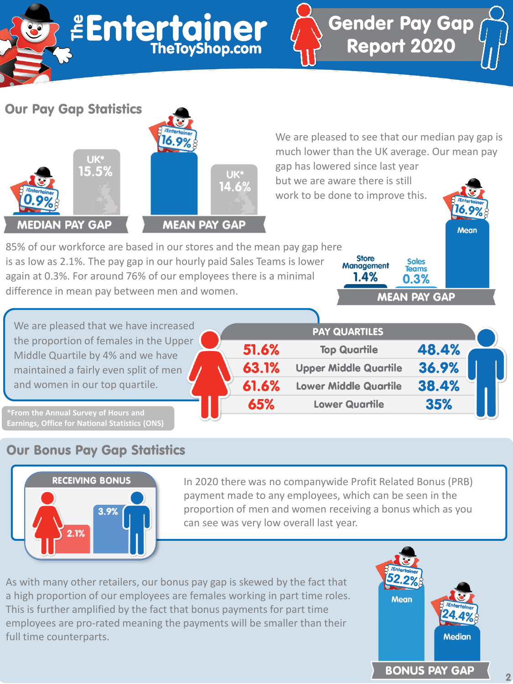| <b>Entertainer</b><br>$\bullet$                                                                                                                                                                                                                                                                                                                                 | <b>Gender Pay Gap<br/>Report 2020</b>                                                                                                                                                                               |
|-----------------------------------------------------------------------------------------------------------------------------------------------------------------------------------------------------------------------------------------------------------------------------------------------------------------------------------------------------------------|---------------------------------------------------------------------------------------------------------------------------------------------------------------------------------------------------------------------|
| <b>Our Pay Gap Statistics</b><br>UK*<br>15.5%<br>UK*<br>14.6%                                                                                                                                                                                                                                                                                                   | We are pleased to see that our median pay gap is<br>much lower than the UK average. Our mean pay<br>gap has lowered since last year<br>but we are aware there is still<br>work to be done to improve this.<br>16.9% |
| <b>MEDIAN PAY GAP</b><br><b>MEAN PAY GAP</b><br>85% of our workforce are based in our stores and the mean pay gap here<br>is as low as 2.1%. The pay gap in our hourly paid Sales Teams is lower<br>again at 0.3%. For around 76% of our employees there is a minimal<br>difference in mean pay between men and women.<br>We are pleased that we have increased | <b>Mean</b><br><b>Store</b><br>Sales<br><b>Management</b><br><b>Teams</b><br>1.4%<br>0.3%<br><b>MEAN PAY GAP</b><br><b>PAY QUARTILES</b>                                                                            |
| the proportion of females in the Upper<br>51.6%<br>Middle Quartile by 4% and we have<br>62 1%<br>the problem of the Control of the company of the confident                                                                                                                                                                                                     | 48.4%<br><b>Top Quartile</b><br>26 O%<br><b>Llonar Middle Quartile</b>                                                                                                                                              |

maintained a fairly even split of men and women in our top quartile.

| 51.6% | <b>Top Quartile</b>          | 48.4% |  |
|-------|------------------------------|-------|--|
| 63.1% | <b>Upper Middle Quartile</b> | 36.9% |  |
| 61.6% | <b>Lower Middle Quartile</b> | 38.4% |  |
| 65%   | <b>Lower Quartile</b>        | 35%   |  |

**Earnings, Office for National Statistics (ONS)**

## Our Bonus Pay Gap Statistics



In 2020 there was no companywide Profit Related Bonus (PRB) payment made to any employees, which can be seen in the proportion of men and women receiving a bonus which as you can see was very low overall last year.

As with many other retailers, our bonus pay gap is skewed by the fact that a high proportion of our employees are females working in part time roles. This is further amplified by the fact that bonus payments for part time employees are pro-rated meaning the payments will be smaller than their full time counterparts.